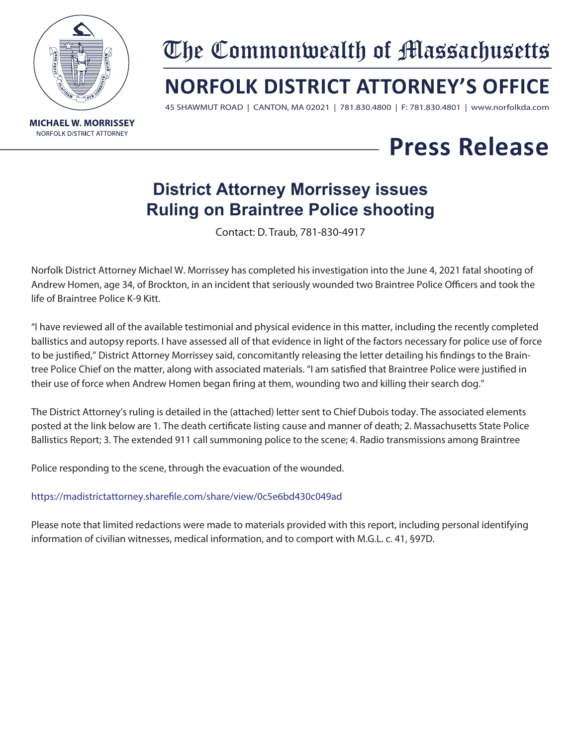

# The Commonwealth of Massachusetts

## **NORFOLK DISTRICT ATTORNEY'S OFFICE**

45 SHAWMUT ROAD | CANTON, MA 02021 | 781.830.4800 | F: 781.830.4801 | www.norfolkda.com

## **Press Release**

### **District Attorney Morrissey issues Ruling on Braintree Police shooting**

Contact: D. Traub, 781-830-4917

Norfolk District Attorney Michael W. Morrissey has completed his investigation into the June 4, 2021 fatal shooting of Andrew Homen, age 34, of Brockton, in an incident that seriously wounded two Braintree Police Officers and took the life of Braintree Police K-9 Kitt.

"I have reviewed all of the available testimonial and physical evidence in this matter, including the recently completed ballistics and autopsy reports. I have assessed all of that evidence in light of the factors necessary for police use of force to be justified," District Attorney Morrissey said, concomitantly releasing the letter detailing his findings to the Braintree Police Chief on the matter, along with associated materials. "I am satisfied that Braintree Police were justified in their use of force when Andrew Homen began firing at them, wounding two and killing their search dog."

The District Attorney's ruling is detailed in the (attached) letter sent to Chief Dubois today. The associated elements posted at the link below are 1. The death certificate listing cause and manner of death; 2. Massachusetts State Police Ballistics Report; 3. The extended 911 call summoning police to the scene; 4. Radio transmissions among Braintree

Police responding to the scene, through the evacuation of the wounded.

#### https://madistrictattorney.sharefile.com/share/view/0c5e6bd430c049ad

Please note that limited redactions were made to materials provided with this report, including personal identifying information of civilian witnesses, medical information, and to comport with M.G.L. c. 41, §97D.

**MICHAEL W. MORRISSEY NORFOLK DISTRICT ATTORNEY**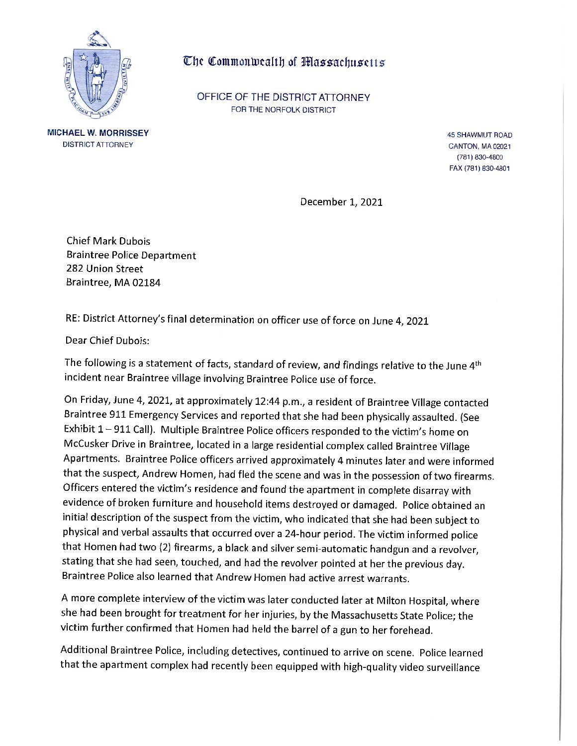

**MICHAEL W. MORRISSEY** 

**DISTRICT ATTORNEY** 

#### The Commonwealth of Massachusetts

OFFICE OF THE DISTRICT ATTORNEY FOR THE NORFOLK DISTRICT

> 45 SHAWMUT ROAD CANTON, MA 02021 (781) 830-4800 FAX (781) 830-4801

December 1, 2021

**Chief Mark Dubois Braintree Police Department** 282 Union Street Braintree, MA 02184

RE: District Attorney's final determination on officer use of force on June 4, 2021

Dear Chief Dubois:

The following is a statement of facts, standard of review, and findings relative to the June 4<sup>th</sup> incident near Braintree village involving Braintree Police use of force.

On Friday, June 4, 2021, at approximately 12:44 p.m., a resident of Braintree Village contacted Braintree 911 Emergency Services and reported that she had been physically assaulted. (See Exhibit  $1 - 911$  Call). Multiple Braintree Police officers responded to the victim's home on McCusker Drive in Braintree, located in a large residential complex called Braintree Village Apartments. Braintree Police officers arrived approximately 4 minutes later and were informed that the suspect, Andrew Homen, had fled the scene and was in the possession of two firearms. Officers entered the victim's residence and found the apartment in complete disarray with evidence of broken furniture and household items destroyed or damaged. Police obtained an initial description of the suspect from the victim, who indicated that she had been subject to physical and verbal assaults that occurred over a 24-hour period. The victim informed police that Homen had two (2) firearms, a black and silver semi-automatic handgun and a revolver, stating that she had seen, touched, and had the revolver pointed at her the previous day. Braintree Police also learned that Andrew Homen had active arrest warrants.

A more complete interview of the victim was later conducted later at Milton Hospital, where she had been brought for treatment for her injuries, by the Massachusetts State Police; the victim further confirmed that Homen had held the barrel of a gun to her forehead.

Additional Braintree Police, including detectives, continued to arrive on scene. Police learned that the apartment complex had recently been equipped with high-quality video surveillance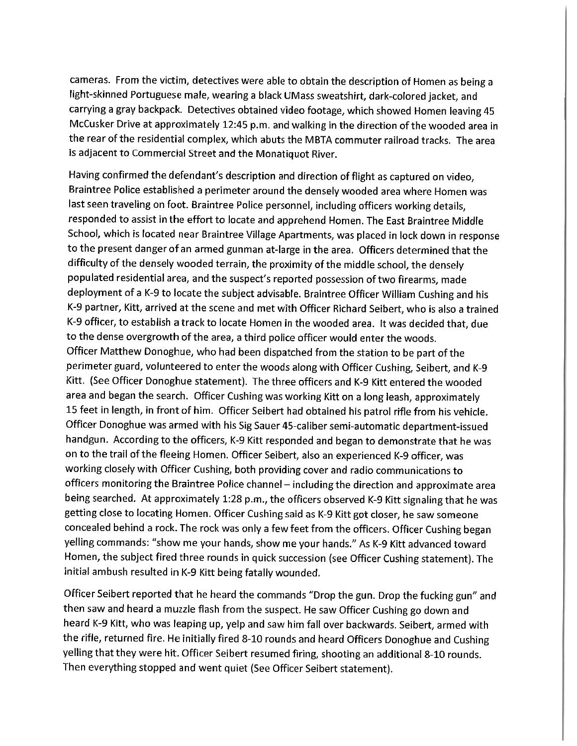cameras. From the victim, detectives were able to obtain the description of Homen as being a light-skinned Portuguese male, wearing a black UMass sweatshirt, dark-colored jacket, and carrying a gray backpack. Detectives obtained video footage, which showed Homen leaving 45 McCusker Drive at approximately 12:45 p.m. and walking in the direction of the wooded area in the rear of the residential complex, which abuts the MBTA commuter railroad tracks. The area is adjacent to Commercial Street and the Monatiquot River.

Having confirmed the defendant's description and direction of flight as captured on video, Braintree Police established a perimeter around the densely wooded area where Homen was last seen traveling on foot. Braintree Police personnel, including officers working details, responded to assist in the effort to locate and apprehend Homen. The East Braintree Middle School, which is located near Braintree Village Apartments, was placed in lock down in response to the present danger of an armed gunman at-large in the area. Officers determined that the difficulty of the densely wooded terrain, the proximity of the middle school, the densely populated residential area, and the suspect's reported possession of two firearms, made deployment of a K-9 to locate the subject advisable. Braintree Officer William Cushing and his K-9 partner, Kitt, arrived at the scene and met with Officer Richard Seibert, who is also a trained K-9 officer, to establish a track to locate Homen in the wooded area. It was decided that, due to the dense overgrowth of the area, a third police officer would enter the woods. Officer Matthew Donoghue, who had been dispatched from the station to be part of the perimeter guard, volunteered to enter the woods along with Officer Cushing, Seibert, and K-9 Kitt. (See Officer Donoghue statement). The three officers and K-9 Kitt entered the wooded area and began the search. Officer Cushing was working Kitt on a long leash, approximately 15 feet in length, in front of him. Officer Seibert had obtained his patrol rifle from his vehicle. Officer Donoghue was armed with his Sig Sauer 45-caliber semi-automatic department-issued handgun. According to the officers, K-9 Kitt responded and began to demonstrate that he was on to the trail of the fleeing Homen. Officer Seibert, also an experienced K-9 officer, was working closely with Officer Cushing, both providing cover and radio communications to officers monitoring the Braintree Police channel - including the direction and approximate area being searched. At approximately 1:28 p.m., the officers observed K-9 Kitt signaling that he was getting close to locating Homen. Officer Cushing said as K-9 Kitt got closer, he saw someone concealed behind a rock. The rock was only a few feet from the officers. Officer Cushing began yelling commands: "show me your hands, show me your hands." As K-9 Kitt advanced toward Homen, the subject fired three rounds in quick succession (see Officer Cushing statement). The initial ambush resulted in K-9 Kitt being fatally wounded.

Officer Seibert reported that he heard the commands "Drop the gun. Drop the fucking gun" and then saw and heard a muzzle flash from the suspect. He saw Officer Cushing go down and heard K-9 Kitt, who was leaping up, yelp and saw him fall over backwards. Seibert, armed with the rifle, returned fire. He initially fired 8-10 rounds and heard Officers Donoghue and Cushing yelling that they were hit. Officer Seibert resumed firing, shooting an additional 8-10 rounds. Then everything stopped and went quiet (See Officer Seibert statement).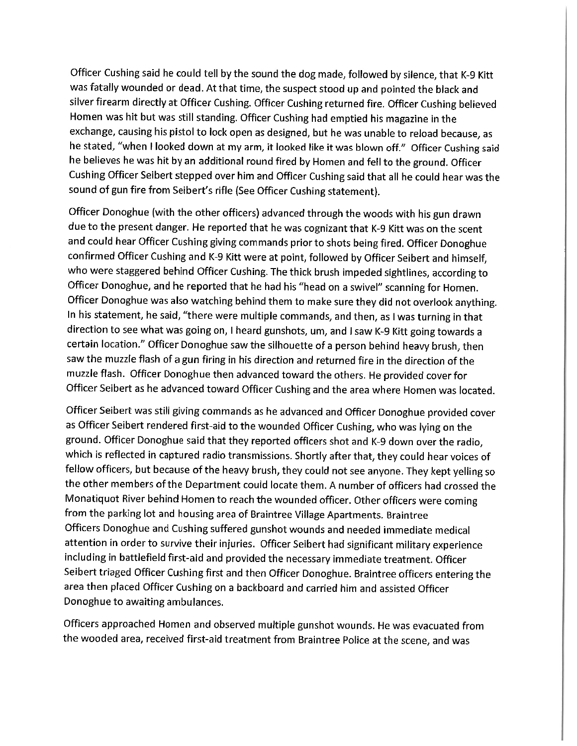Officer Cushing said he could tell by the sound the dog made, followed by silence, that K-9 Kitt was fatally wounded or dead. At that time, the suspect stood up and pointed the black and silver firearm directly at Officer Cushing. Officer Cushing returned fire. Officer Cushing believed Homen was hit but was still standing. Officer Cushing had emptied his magazine in the exchange, causing his pistol to lock open as designed, but he was unable to reload because, as he stated, "when I looked down at my arm, it looked like it was blown off." Officer Cushing said he believes he was hit by an additional round fired by Homen and fell to the ground. Officer Cushing Officer Seibert stepped over him and Officer Cushing said that all he could hear was the sound of gun fire from Seibert's rifle (See Officer Cushing statement).

Officer Donoghue (with the other officers) advanced through the woods with his gun drawn due to the present danger. He reported that he was cognizant that K-9 Kitt was on the scent and could hear Officer Cushing giving commands prior to shots being fired. Officer Donoghue confirmed Officer Cushing and K-9 Kitt were at point, followed by Officer Seibert and himself, who were staggered behind Officer Cushing. The thick brush impeded sightlines, according to Officer Donoghue, and he reported that he had his "head on a swivel" scanning for Homen. Officer Donoghue was also watching behind them to make sure they did not overlook anything. In his statement, he said, "there were multiple commands, and then, as I was turning in that direction to see what was going on, I heard gunshots, um, and I saw K-9 Kitt going towards a certain location." Officer Donoghue saw the silhouette of a person behind heavy brush, then saw the muzzle flash of a gun firing in his direction and returned fire in the direction of the muzzle flash. Officer Donoghue then advanced toward the others. He provided cover for Officer Seibert as he advanced toward Officer Cushing and the area where Homen was located.

Officer Seibert was still giving commands as he advanced and Officer Donoghue provided cover as Officer Seibert rendered first-aid to the wounded Officer Cushing, who was lying on the ground. Officer Donoghue said that they reported officers shot and K-9 down over the radio, which is reflected in captured radio transmissions. Shortly after that, they could hear voices of fellow officers, but because of the heavy brush, they could not see anyone. They kept yelling so the other members of the Department could locate them. A number of officers had crossed the Monatiquot River behind Homen to reach the wounded officer. Other officers were coming from the parking lot and housing area of Braintree Village Apartments. Braintree Officers Donoghue and Cushing suffered gunshot wounds and needed immediate medical attention in order to survive their injuries. Officer Seibert had significant military experience including in battlefield first-aid and provided the necessary immediate treatment. Officer Seibert triaged Officer Cushing first and then Officer Donoghue. Braintree officers entering the area then placed Officer Cushing on a backboard and carried him and assisted Officer Donoghue to awaiting ambulances.

Officers approached Homen and observed multiple gunshot wounds. He was evacuated from the wooded area, received first-aid treatment from Braintree Police at the scene, and was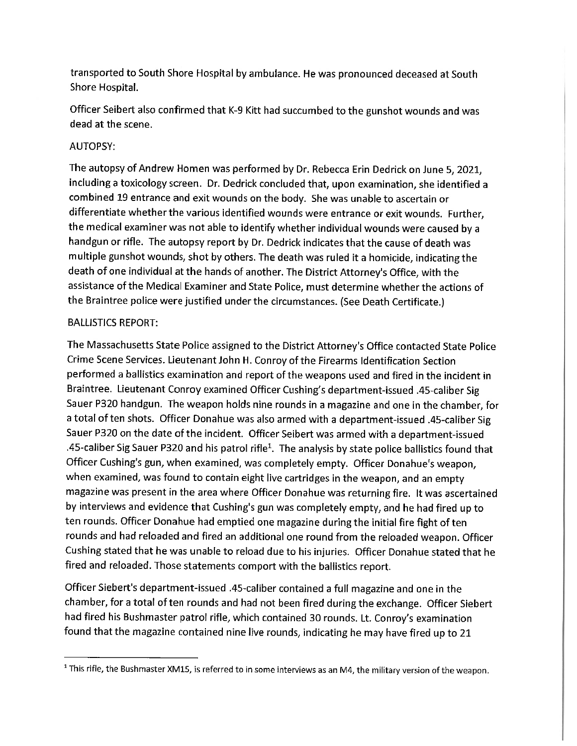transported to South Shore Hospital by ambulance. He was pronounced deceased at South Shore Hospital.

Officer Seibert also confirmed that K-9 Kitt had succumbed to the gunshot wounds and was dead at the scene.

#### **AUTOPSY:**

The autopsy of Andrew Homen was performed by Dr. Rebecca Erin Dedrick on June 5, 2021, including a toxicology screen. Dr. Dedrick concluded that, upon examination, she identified a combined 19 entrance and exit wounds on the body. She was unable to ascertain or differentiate whether the various identified wounds were entrance or exit wounds. Further, the medical examiner was not able to identify whether individual wounds were caused by a handgun or rifle. The autopsy report by Dr. Dedrick indicates that the cause of death was multiple gunshot wounds, shot by others. The death was ruled it a homicide, indicating the death of one individual at the hands of another. The District Attorney's Office, with the assistance of the Medical Examiner and State Police, must determine whether the actions of the Braintree police were justified under the circumstances. (See Death Certificate.)

#### **BALLISTICS REPORT:**

The Massachusetts State Police assigned to the District Attorney's Office contacted State Police Crime Scene Services. Lieutenant John H. Conroy of the Firearms Identification Section performed a ballistics examination and report of the weapons used and fired in the incident in Braintree. Lieutenant Conroy examined Officer Cushing's department-issued .45-caliber Sig Sauer P320 handgun. The weapon holds nine rounds in a magazine and one in the chamber, for a total of ten shots. Officer Donahue was also armed with a department-issued .45-caliber Sig Sauer P320 on the date of the incident. Officer Seibert was armed with a department-issued .45-caliber Sig Sauer P320 and his patrol rifle<sup>1</sup>. The analysis by state police ballistics found that Officer Cushing's gun, when examined, was completely empty. Officer Donahue's weapon, when examined, was found to contain eight live cartridges in the weapon, and an empty magazine was present in the area where Officer Donahue was returning fire. It was ascertained by interviews and evidence that Cushing's gun was completely empty, and he had fired up to ten rounds. Officer Donahue had emptied one magazine during the initial fire fight of ten rounds and had reloaded and fired an additional one round from the reloaded weapon. Officer Cushing stated that he was unable to reload due to his injuries. Officer Donahue stated that he fired and reloaded. Those statements comport with the ballistics report.

Officer Siebert's department-issued .45-caliber contained a full magazine and one in the chamber, for a total of ten rounds and had not been fired during the exchange. Officer Siebert had fired his Bushmaster patrol rifle, which contained 30 rounds. Lt. Conroy's examination found that the magazine contained nine live rounds, indicating he may have fired up to 21

<sup>&</sup>lt;sup>1</sup> This rifle, the Bushmaster XM15, is referred to in some interviews as an M4, the military version of the weapon.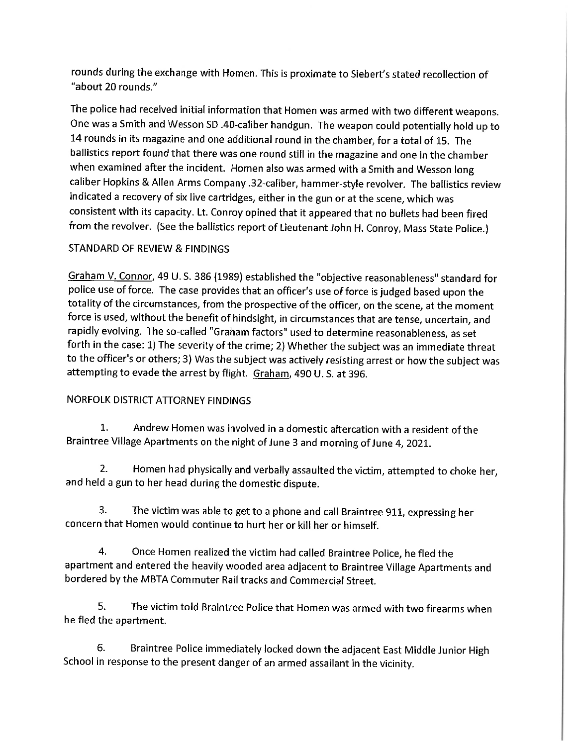rounds during the exchange with Homen. This is proximate to Siebert's stated recollection of "about 20 rounds."

The police had received initial information that Homen was armed with two different weapons. One was a Smith and Wesson SD .40-caliber handgun. The weapon could potentially hold up to 14 rounds in its magazine and one additional round in the chamber, for a total of 15. The ballistics report found that there was one round still in the magazine and one in the chamber when examined after the incident. Homen also was armed with a Smith and Wesson long caliber Hopkins & Allen Arms Company .32-caliber, hammer-style revolver. The ballistics review indicated a recovery of six live cartridges, either in the gun or at the scene, which was consistent with its capacity. Lt. Conroy opined that it appeared that no bullets had been fired from the revolver. (See the ballistics report of Lieutenant John H. Conroy, Mass State Police.)

#### STANDARD OF REVIEW & FINDINGS

Graham V. Connor, 49 U. S. 386 (1989) established the "objective reasonableness" standard for police use of force. The case provides that an officer's use of force is judged based upon the totality of the circumstances, from the prospective of the officer, on the scene, at the moment force is used, without the benefit of hindsight, in circumstances that are tense, uncertain, and rapidly evolving. The so-called "Graham factors" used to determine reasonableness, as set forth in the case: 1) The severity of the crime; 2) Whether the subject was an immediate threat to the officer's or others; 3) Was the subject was actively resisting arrest or how the subject was attempting to evade the arrest by flight. Graham, 490 U.S. at 396.

#### NORFOLK DISTRICT ATTORNEY FINDINGS

 $1.$ Andrew Homen was involved in a domestic altercation with a resident of the Braintree Village Apartments on the night of June 3 and morning of June 4, 2021.

 $\overline{2}$ . Homen had physically and verbally assaulted the victim, attempted to choke her, and held a gun to her head during the domestic dispute.

3. The victim was able to get to a phone and call Braintree 911, expressing her concern that Homen would continue to hurt her or kill her or himself.

 $\overline{\mathbf{4}}$ . Once Homen realized the victim had called Braintree Police, he fled the apartment and entered the heavily wooded area adjacent to Braintree Village Apartments and bordered by the MBTA Commuter Rail tracks and Commercial Street.

5. The victim told Braintree Police that Homen was armed with two firearms when he fled the apartment.

6. Braintree Police immediately locked down the adjacent East Middle Junior High School in response to the present danger of an armed assailant in the vicinity.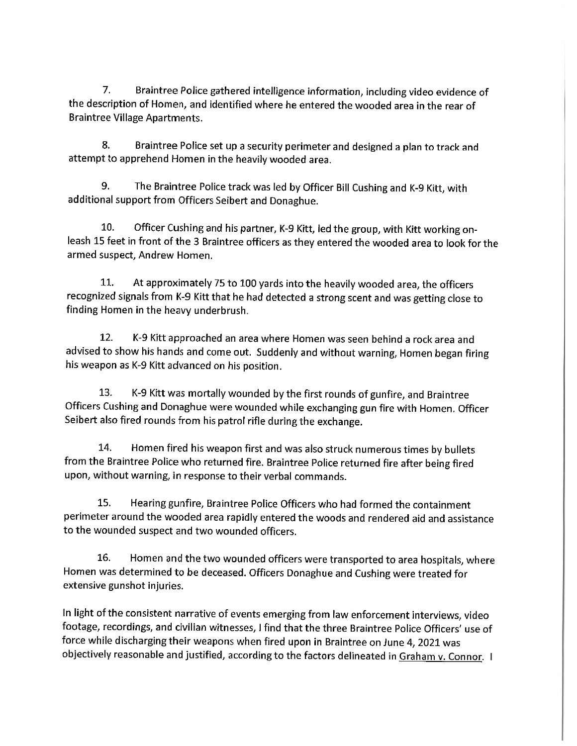7. Braintree Police gathered intelligence information, including video evidence of the description of Homen, and identified where he entered the wooded area in the rear of **Braintree Village Apartments.** 

8. Braintree Police set up a security perimeter and designed a plan to track and attempt to apprehend Homen in the heavily wooded area.

9. The Braintree Police track was led by Officer Bill Cushing and K-9 Kitt, with additional support from Officers Seibert and Donaghue.

10. Officer Cushing and his partner, K-9 Kitt, led the group, with Kitt working onleash 15 feet in front of the 3 Braintree officers as they entered the wooded area to look for the armed suspect, Andrew Homen.

11. At approximately 75 to 100 yards into the heavily wooded area, the officers recognized signals from K-9 Kitt that he had detected a strong scent and was getting close to finding Homen in the heavy underbrush.

12. K-9 Kitt approached an area where Homen was seen behind a rock area and advised to show his hands and come out. Suddenly and without warning, Homen began firing his weapon as K-9 Kitt advanced on his position.

13. K-9 Kitt was mortally wounded by the first rounds of gunfire, and Braintree Officers Cushing and Donaghue were wounded while exchanging gun fire with Homen. Officer Seibert also fired rounds from his patrol rifle during the exchange.

14. Homen fired his weapon first and was also struck numerous times by bullets from the Braintree Police who returned fire. Braintree Police returned fire after being fired upon, without warning, in response to their verbal commands.

15. Hearing gunfire, Braintree Police Officers who had formed the containment perimeter around the wooded area rapidly entered the woods and rendered aid and assistance to the wounded suspect and two wounded officers.

16. Homen and the two wounded officers were transported to area hospitals, where Homen was determined to be deceased. Officers Donaghue and Cushing were treated for extensive gunshot injuries.

In light of the consistent narrative of events emerging from law enforcement interviews, video footage, recordings, and civilian witnesses, I find that the three Braintree Police Officers' use of force while discharging their weapons when fired upon in Braintree on June 4, 2021 was objectively reasonable and justified, according to the factors delineated in Graham v. Connor. I